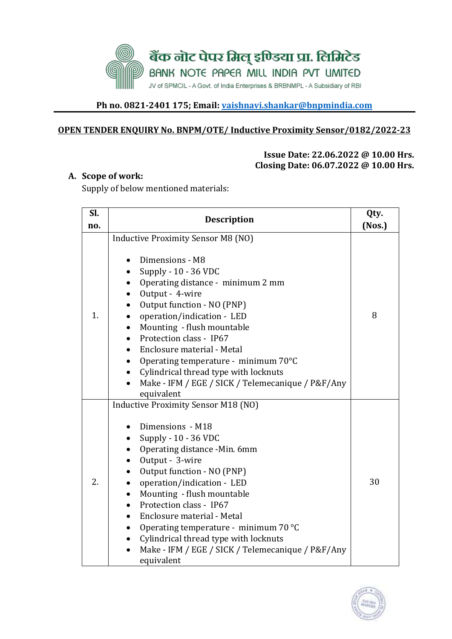

## **Ph no. 0821-2401 175; Email: [vaishnavi.shankar@bnpmindia.com](mailto:vaishnavi.shankar@bnpmindia.com)**

### **OPEN TENDER ENQUIRY No. BNPM/OTE/ Inductive Proximity Sensor/0182/2022-23**

#### **Issue Date: 22.06.2022 @ 10.00 Hrs. Closing Date: 06.07.2022 @ 10.00 Hrs.**

### **A. Scope of work:**

Supply of below mentioned materials:

| Sl. | <b>Description</b>                                                                                                                                                                                                                                                                                                                                                                                                                                                                                                                                |        |  |  |  |  |
|-----|---------------------------------------------------------------------------------------------------------------------------------------------------------------------------------------------------------------------------------------------------------------------------------------------------------------------------------------------------------------------------------------------------------------------------------------------------------------------------------------------------------------------------------------------------|--------|--|--|--|--|
| no. |                                                                                                                                                                                                                                                                                                                                                                                                                                                                                                                                                   | (Nos.) |  |  |  |  |
| 1.  | <b>Inductive Proximity Sensor M8 (NO)</b><br>Dimensions - M8<br>Supply - 10 - 36 VDC<br>Operating distance - minimum 2 mm<br>Output - 4-wire<br>$\bullet$<br>Output function - NO (PNP)<br>$\bullet$<br>operation/indication - LED<br>Mounting - flush mountable<br>Protection class - IP67<br>$\bullet$<br>Enclosure material - Metal<br>Operating temperature - minimum 70°C<br>$\bullet$<br>Cylindrical thread type with locknuts<br>$\bullet$<br>Make - IFM / EGE / SICK / Telemecanique / P&F/Any<br>equivalent                              | 8      |  |  |  |  |
| 2.  | <b>Inductive Proximity Sensor M18 (NO)</b><br>Dimensions - M18<br>Supply - 10 - 36 VDC<br>Operating distance -Min. 6mm<br>$\bullet$<br>Output - 3-wire<br>Output function - NO (PNP)<br>operation/indication - LED<br>٠<br>Mounting - flush mountable<br>$\bullet$<br>Protection class - IP67<br>$\bullet$<br>Enclosure material - Metal<br>$\bullet$<br>Operating temperature - minimum 70 °C<br>$\bullet$<br>Cylindrical thread type with locknuts<br>$\bullet$<br>Make - IFM / EGE / SICK / Telemecanique / P&F/Any<br>$\bullet$<br>equivalent | 30     |  |  |  |  |

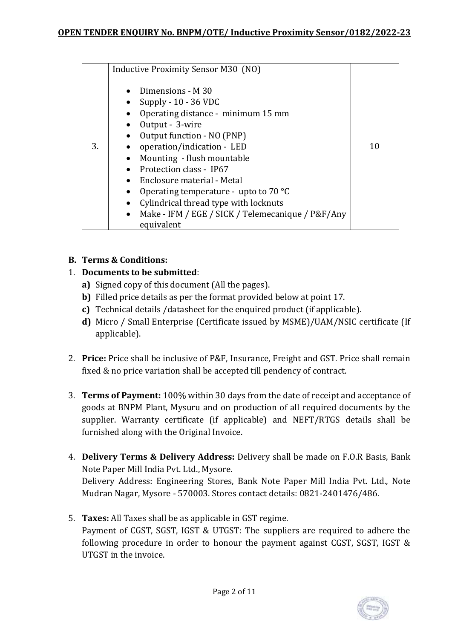|    | Inductive Proximity Sensor M30 (NO)                                                                                                                                                                                                                                                                                                                                                                                 |    |
|----|---------------------------------------------------------------------------------------------------------------------------------------------------------------------------------------------------------------------------------------------------------------------------------------------------------------------------------------------------------------------------------------------------------------------|----|
| 3. | Dimensions - M 30<br>Supply - 10 - 36 VDC<br>Operating distance - minimum 15 mm<br>Output - 3-wire<br>Output function - NO (PNP)<br>operation/indication - LED<br>Mounting - flush mountable<br>Protection class - IP67<br>Enclosure material - Metal<br>Operating temperature - upto to $70^{\circ}$ C<br>Cylindrical thread type with locknuts<br>Make - IFM / EGE / SICK / Telemecanique / P&F/Any<br>equivalent | 10 |

### **B. Terms & Conditions:**

## 1. **Documents to be submitted**:

- **a)** Signed copy of this document (All the pages).
- **b)** Filled price details as per the format provided below at point 17.
- **c)** Technical details /datasheet for the enquired product (if applicable).
- **d)** Micro / Small Enterprise (Certificate issued by MSME)/UAM/NSIC certificate (If applicable).
- 2. **Price:** Price shall be inclusive of P&F, Insurance, Freight and GST. Price shall remain fixed & no price variation shall be accepted till pendency of contract.
- 3. **Terms of Payment:** 100% within 30 days from the date of receipt and acceptance of goods at BNPM Plant, Mysuru and on production of all required documents by the supplier. Warranty certificate (if applicable) and NEFT/RTGS details shall be furnished along with the Original Invoice.
- 4. **Delivery Terms & Delivery Address:** Delivery shall be made on F.O.R Basis, Bank Note Paper Mill India Pvt. Ltd., Mysore.

Delivery Address: Engineering Stores, Bank Note Paper Mill India Pvt. Ltd., Note Mudran Nagar, Mysore - 570003. Stores contact details: 0821-2401476/486.

5. **Taxes:** All Taxes shall be as applicable in GST regime. Payment of CGST, SGST, IGST & UTGST: The suppliers are required to adhere the following procedure in order to honour the payment against CGST, SGST, IGST & UTGST in the invoice.

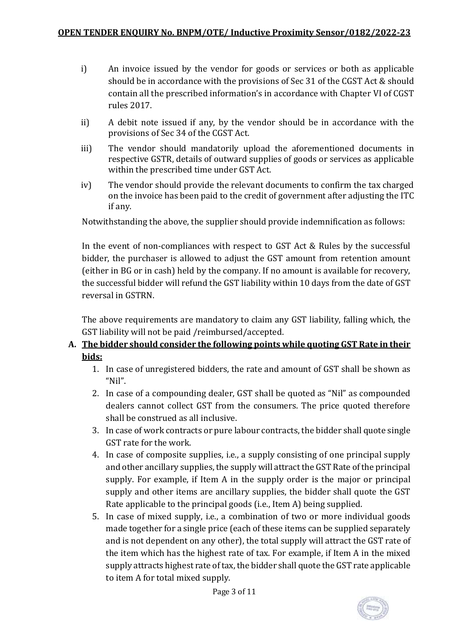- i) An invoice issued by the vendor for goods or services or both as applicable should be in accordance with the provisions of Sec 31 of the CGST Act & should contain all the prescribed information's in accordance with Chapter VI of CGST rules 2017.
- ii) A debit note issued if any, by the vendor should be in accordance with the provisions of Sec 34 of the CGST Act.
- iii) The vendor should mandatorily upload the aforementioned documents in respective GSTR, details of outward supplies of goods or services as applicable within the prescribed time under GST Act.
- iv) The vendor should provide the relevant documents to confirm the tax charged on the invoice has been paid to the credit of government after adjusting the ITC if any.

Notwithstanding the above, the supplier should provide indemnification as follows:

In the event of non-compliances with respect to GST Act & Rules by the successful bidder, the purchaser is allowed to adjust the GST amount from retention amount (either in BG or in cash) held by the company. If no amount is available for recovery, the successful bidder will refund the GST liability within 10 days from the date of GST reversal in GSTRN.

The above requirements are mandatory to claim any GST liability, falling which, the GST liability will not be paid /reimbursed/accepted.

## **A. The bidder should consider the following points while quoting GST Rate in their bids:**

- 1. In case of unregistered bidders, the rate and amount of GST shall be shown as "Nil".
- 2. In case of a compounding dealer, GST shall be quoted as "Nil" as compounded dealers cannot collect GST from the consumers. The price quoted therefore shall be construed as all inclusive.
- 3. In case of work contracts or pure labour contracts, the bidder shall quote single GST rate for the work.
- 4. In case of composite supplies, i.e., a supply consisting of one principal supply and other ancillary supplies, the supply will attract the GST Rate of the principal supply. For example, if Item A in the supply order is the major or principal supply and other items are ancillary supplies, the bidder shall quote the GST Rate applicable to the principal goods (i.e., Item A) being supplied.
- 5. In case of mixed supply, i.e., a combination of two or more individual goods made together for a single price (each of these items can be supplied separately and is not dependent on any other), the total supply will attract the GST rate of the item which has the highest rate of tax. For example, if Item A in the mixed supply attracts highest rate of tax, the bidder shall quote the GST rate applicable to item A for total mixed supply.

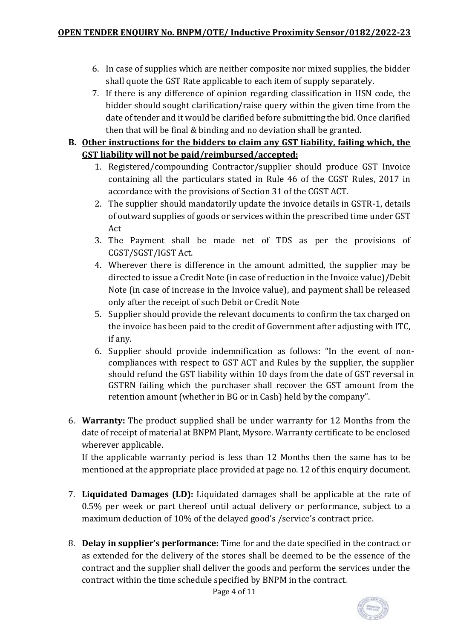- 6. In case of supplies which are neither composite nor mixed supplies, the bidder shall quote the GST Rate applicable to each item of supply separately.
- 7. If there is any difference of opinion regarding classification in HSN code, the bidder should sought clarification/raise query within the given time from the date of tender and it would be clarified before submitting the bid. Once clarified then that will be final & binding and no deviation shall be granted.

## **B. Other instructions for the bidders to claim any GST liability, failing which, the GST liability will not be paid/reimbursed/accepted:**

- 1. Registered/compounding Contractor/supplier should produce GST Invoice containing all the particulars stated in Rule 46 of the CGST Rules, 2017 in accordance with the provisions of Section 31 of the CGST ACT.
- 2. The supplier should mandatorily update the invoice details in GSTR-1, details of outward supplies of goods or services within the prescribed time under GST Act
- 3. The Payment shall be made net of TDS as per the provisions of CGST/SGST/IGST Act.
- 4. Wherever there is difference in the amount admitted, the supplier may be directed to issue a Credit Note (in case of reduction in the Invoice value)/Debit Note (in case of increase in the Invoice value), and payment shall be released only after the receipt of such Debit or Credit Note
- 5. Supplier should provide the relevant documents to confirm the tax charged on the invoice has been paid to the credit of Government after adjusting with ITC, if any.
- 6. Supplier should provide indemnification as follows: "In the event of noncompliances with respect to GST ACT and Rules by the supplier, the supplier should refund the GST liability within 10 days from the date of GST reversal in GSTRN failing which the purchaser shall recover the GST amount from the retention amount (whether in BG or in Cash) held by the company".
- 6. **Warranty:** The product supplied shall be under warranty for 12 Months from the date of receipt of material at BNPM Plant, Mysore. Warranty certificate to be enclosed wherever applicable.

If the applicable warranty period is less than 12 Months then the same has to be mentioned at the appropriate place provided at page no. 12 of this enquiry document.

- 7. **Liquidated Damages (LD):** Liquidated damages shall be applicable at the rate of 0.5% per week or part thereof until actual delivery or performance, subject to a maximum deduction of 10% of the delayed good's /service's contract price.
- 8. **Delay in supplier's performance:** Time for and the date specified in the contract or as extended for the delivery of the stores shall be deemed to be the essence of the contract and the supplier shall deliver the goods and perform the services under the contract within the time schedule specified by BNPM in the contract.

Page 4 of 11

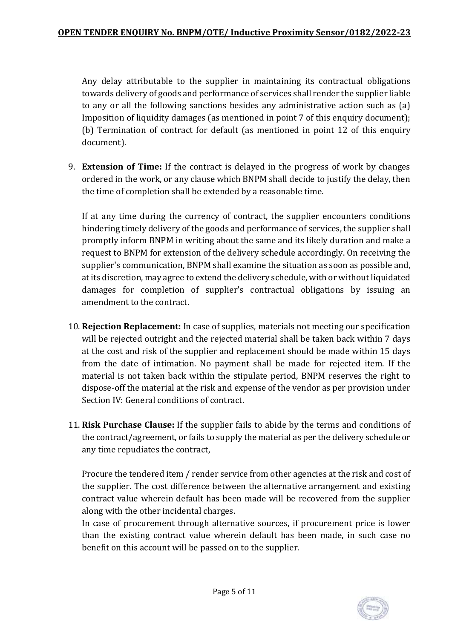Any delay attributable to the supplier in maintaining its contractual obligations towards delivery of goods and performance of services shall render the supplier liable to any or all the following sanctions besides any administrative action such as (a) Imposition of liquidity damages (as mentioned in point 7 of this enquiry document); (b) Termination of contract for default (as mentioned in point 12 of this enquiry document).

9. **Extension of Time:** If the contract is delayed in the progress of work by changes ordered in the work, or any clause which BNPM shall decide to justify the delay, then the time of completion shall be extended by a reasonable time.

If at any time during the currency of contract, the supplier encounters conditions hindering timely delivery of the goods and performance of services, the supplier shall promptly inform BNPM in writing about the same and its likely duration and make a request to BNPM for extension of the delivery schedule accordingly. On receiving the supplier's communication, BNPM shall examine the situation as soon as possible and, at its discretion, may agree to extend the delivery schedule, with or without liquidated damages for completion of supplier's contractual obligations by issuing an amendment to the contract.

- 10. **Rejection Replacement:** In case of supplies, materials not meeting our specification will be rejected outright and the rejected material shall be taken back within 7 days at the cost and risk of the supplier and replacement should be made within 15 days from the date of intimation. No payment shall be made for rejected item. If the material is not taken back within the stipulate period, BNPM reserves the right to dispose-off the material at the risk and expense of the vendor as per provision under Section IV: General conditions of contract.
- 11. **Risk Purchase Clause:** If the supplier fails to abide by the terms and conditions of the contract/agreement, or fails to supply the material as per the delivery schedule or any time repudiates the contract,

Procure the tendered item / render service from other agencies at the risk and cost of the supplier. The cost difference between the alternative arrangement and existing contract value wherein default has been made will be recovered from the supplier along with the other incidental charges.

In case of procurement through alternative sources, if procurement price is lower than the existing contract value wherein default has been made, in such case no benefit on this account will be passed on to the supplier.

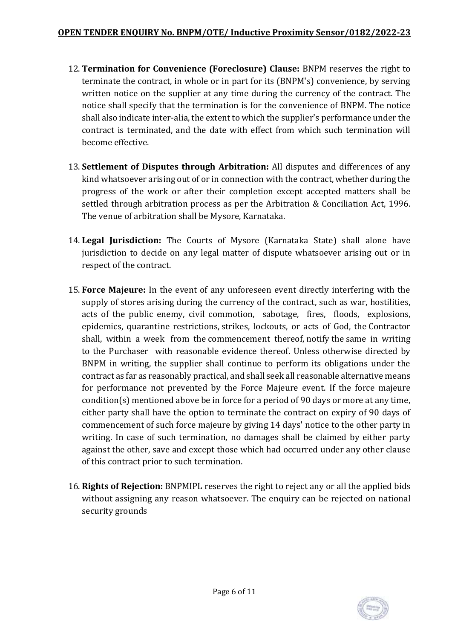- 12. **Termination for Convenience (Foreclosure) Clause:** BNPM reserves the right to terminate the contract, in whole or in part for its (BNPM's) convenience, by serving written notice on the supplier at any time during the currency of the contract. The notice shall specify that the termination is for the convenience of BNPM. The notice shall also indicate inter-alia, the extent to which the supplier's performance under the contract is terminated, and the date with effect from which such termination will become effective.
- 13. **Settlement of Disputes through Arbitration:** All disputes and differences of any kind whatsoever arising out of or in connection with the contract, whether during the progress of the work or after their completion except accepted matters shall be settled through arbitration process as per the Arbitration & Conciliation Act, 1996. The venue of arbitration shall be Mysore, Karnataka.
- 14. **Legal Jurisdiction:** The Courts of Mysore (Karnataka State) shall alone have jurisdiction to decide on any legal matter of dispute whatsoever arising out or in respect of the contract.
- 15. **Force Majeure:** In the event of any unforeseen event directly interfering with the supply of stores arising during the currency of the contract, such as war, hostilities, acts of the public enemy, civil commotion, sabotage, fires, floods, explosions, epidemics, quarantine restrictions, strikes, lockouts, or acts of God, the Contractor shall, within a week from the commencement thereof, notify the same in writing to the Purchaser with reasonable evidence thereof. Unless otherwise directed by BNPM in writing, the supplier shall continue to perform its obligations under the contract as far as reasonably practical, and shall seek all reasonable alternative means for performance not prevented by the Force Majeure event. If the force majeure condition(s) mentioned above be in force for a period of 90 days or more at any time, either party shall have the option to terminate the contract on expiry of 90 days of commencement of such force majeure by giving 14 days' notice to the other party in writing. In case of such termination, no damages shall be claimed by either party against the other, save and except those which had occurred under any other clause of this contract prior to such termination.
- 16. **Rights of Rejection:** BNPMIPL reserves the right to reject any or all the applied bids without assigning any reason whatsoever. The enquiry can be rejected on national security grounds

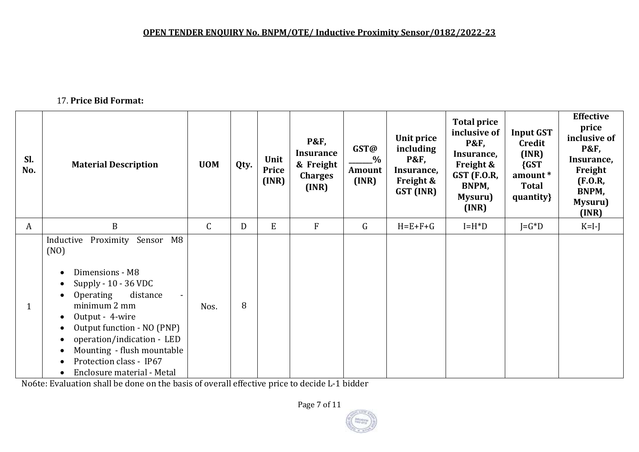# 17. **Price Bid Format:**

| SI.<br>No.   | <b>Material Description</b>                                                                                                                                                                                                                                                                                                                                                                                                | <b>UOM</b>   | Qty. | Unit<br>Price<br>(INR) | <b>P&amp;F,</b><br><b>Insurance</b><br>& Freight<br><b>Charges</b><br>(INR) | GST@<br>$\%$<br>Amount<br>(INR) | Unit price<br>including<br><b>P&amp;F,</b><br>Insurance,<br><b>Freight &amp;</b><br>GST (INR) | <b>Total price</b><br>inclusive of<br><b>P&amp;F,</b><br>Insurance,<br>Freight &<br><b>GST (F.O.R,</b><br>BNPM,<br>Mysuru)<br>(INR) | <b>Input GST</b><br>Credit<br>(INR)<br>${GST}$<br>amount*<br><b>Total</b><br>quantity} | <b>Effective</b><br>price<br>inclusive of<br><b>P&amp;F,</b><br>Insurance,<br>Freight<br>(F.0.R,<br>BNPM,<br>Mysuru)<br>(INR) |
|--------------|----------------------------------------------------------------------------------------------------------------------------------------------------------------------------------------------------------------------------------------------------------------------------------------------------------------------------------------------------------------------------------------------------------------------------|--------------|------|------------------------|-----------------------------------------------------------------------------|---------------------------------|-----------------------------------------------------------------------------------------------|-------------------------------------------------------------------------------------------------------------------------------------|----------------------------------------------------------------------------------------|-------------------------------------------------------------------------------------------------------------------------------|
| A            | $\boldsymbol{B}$                                                                                                                                                                                                                                                                                                                                                                                                           | $\mathsf{C}$ | D    | E                      | F                                                                           | $\mathsf G$                     | $H = E + F + G$                                                                               | $I=H^*D$                                                                                                                            | $J = G^*D$                                                                             | $K=I-J$                                                                                                                       |
| $\mathbf{1}$ | Proximity Sensor<br>M8<br>Inductive<br>(NO)<br>Dimensions - M8<br>$\bullet$<br>Supply - 10 - 36 VDC<br>$\bullet$<br>distance<br>Operating<br>$\bullet$<br>minimum 2 mm<br>Output - 4-wire<br>$\bullet$<br>Output function - NO (PNP)<br>$\bullet$<br>operation/indication - LED<br>$\bullet$<br>Mounting - flush mountable<br>$\bullet$<br>Protection class - IP67<br>$\bullet$<br>Enclosure material - Metal<br>$\bullet$ | Nos.         | 8    |                        |                                                                             |                                 |                                                                                               |                                                                                                                                     |                                                                                        |                                                                                                                               |

No6te: Evaluation shall be done on the basis of overall effective price to decide L-1 bidder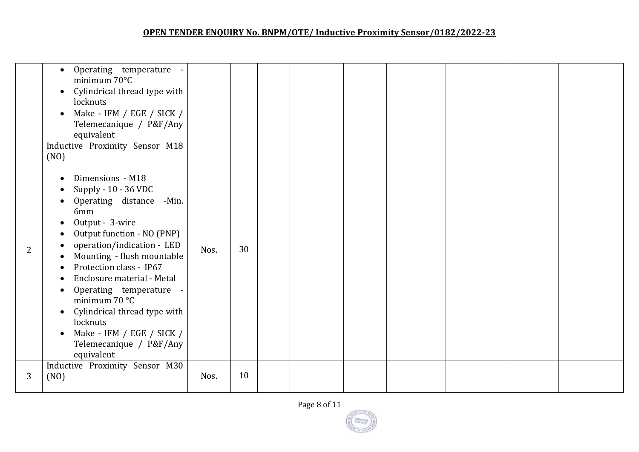# **OPEN TENDER ENQUIRY No. BNPM/OTE/ Inductive Proximity Sensor/0182/2022-23**

|   | Operating temperature<br>$\bullet$<br>minimum 70°C<br>Cylindrical thread type with<br>$\bullet$<br>locknuts<br>Make - IFM / EGE / SICK /<br>$\bullet$<br>Telemecanique / P&F/Any<br>equivalent                                                                                                                                                                                                                                                                                                                |      |    |  |  |  |  |
|---|---------------------------------------------------------------------------------------------------------------------------------------------------------------------------------------------------------------------------------------------------------------------------------------------------------------------------------------------------------------------------------------------------------------------------------------------------------------------------------------------------------------|------|----|--|--|--|--|
| 2 | Inductive Proximity Sensor M18<br>(NO)<br>Dimensions - M18<br>$\bullet$<br>Supply - 10 - 36 VDC<br>Operating distance -Min.<br>6mm<br>Output - 3-wire<br>$\bullet$<br>Output function - NO (PNP)<br>operation/indication - LED<br>Mounting - flush mountable<br>Protection class - IP67<br>Enclosure material - Metal<br>Operating temperature -<br>minimum 70 °C<br>Cylindrical thread type with<br>$\bullet$<br>locknuts<br>Make - IFM / EGE / SICK /<br>$\bullet$<br>Telemecanique / P&F/Any<br>equivalent | Nos. | 30 |  |  |  |  |
| 3 | Inductive Proximity Sensor M30<br>(NO)                                                                                                                                                                                                                                                                                                                                                                                                                                                                        | Nos. | 10 |  |  |  |  |

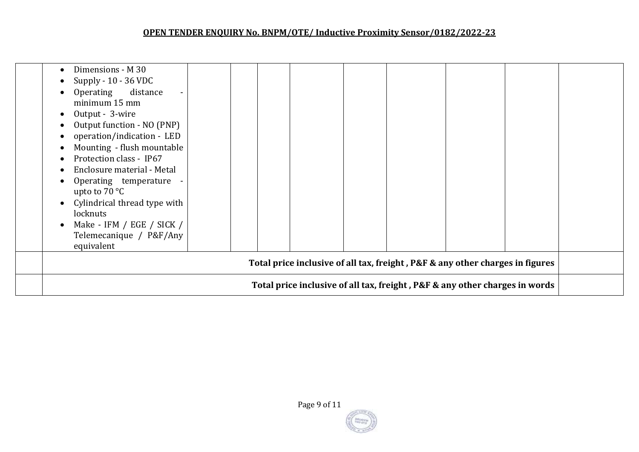# **OPEN TENDER ENQUIRY No. BNPM/OTE/ Inductive Proximity Sensor/0182/2022-23**

| Dimensions - M 30<br>Supply - 10 - 36 VDC<br>Operating distance<br>minimum 15 mm<br>Output - 3-wire<br>Output function - NO (PNP)<br>operation/indication - LED<br>Mounting - flush mountable<br>Protection class - IP67<br>Enclosure material - Metal<br>Operating temperature -<br>upto to $70 °C$<br>Cylindrical thread type with<br>locknuts<br>Make - IFM / EGE / SICK /<br>Telemecanique / P&F/Any<br>equivalent |                                                                             |  |  |  |  |  |  |  |
|------------------------------------------------------------------------------------------------------------------------------------------------------------------------------------------------------------------------------------------------------------------------------------------------------------------------------------------------------------------------------------------------------------------------|-----------------------------------------------------------------------------|--|--|--|--|--|--|--|
| Total price inclusive of all tax, freight, P&F & any other charges in figures                                                                                                                                                                                                                                                                                                                                          |                                                                             |  |  |  |  |  |  |  |
|                                                                                                                                                                                                                                                                                                                                                                                                                        | Total price inclusive of all tax, freight, P&F & any other charges in words |  |  |  |  |  |  |  |

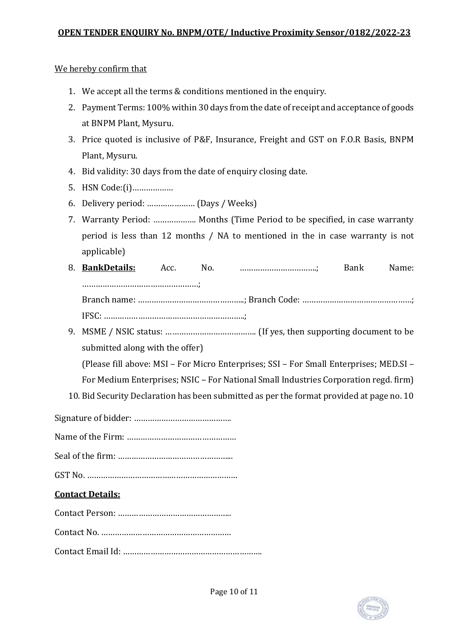We hereby confirm that

- 1. We accept all the terms & conditions mentioned in the enquiry.
- 2. Payment Terms: 100% within 30 days from the date of receipt and acceptance of goods at BNPM Plant, Mysuru.
- 3. Price quoted is inclusive of P&F, Insurance, Freight and GST on F.O.R Basis, BNPM Plant, Mysuru.
- 4. Bid validity: 30 days from the date of enquiry closing date.
- 5. HSN Code:(i)………………
- 6. Delivery period: ………………… (Days / Weeks)
- 7. Warranty Period: ………………. Months (Time Period to be specified, in case warranty period is less than 12 months / NA to mentioned in the in case warranty is not applicable)
- 8. **BankDetails:** Acc. No. …………………………….; Bank Name: ……………………………………………; Branch name: ………………………………………..; Branch Code: …………………………………………; IFSC: ……………………………………………………..;
- 9. MSME / NSIC status: …………………………………. (If yes, then supporting document to be submitted along with the offer)

(Please fill above: MSI – For Micro Enterprises; SSI – For Small Enterprises; MED.SI –

- For Medium Enterprises; NSIC For National Small Industries Corporation regd. firm)
- 10. Bid Security Declaration has been submitted as per the format provided at page no. 10

### **Contact Details:**

Contact Person: …………………………………………..

Contact No. …………………………………………………

Contact Email Id: …………………………………………………….